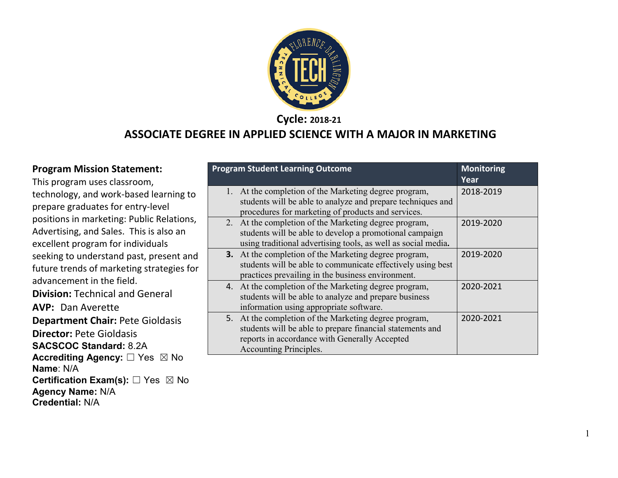

**Cycle: 2018-21**

#### **ASSOCIATE DEGREE IN APPLIED SCIENCE WITH A MAJOR IN MARKETING**

#### **Program Mission Statement:**

This program uses classroom, technology, and work-based learning to prepare graduates for entry-level positions in marketing: Public Relations, Advertising, and Sales. This is also an excellent program for individuals seeking to understand past, present and future trends of marketing strategies for advancement in the field. **Division:** Technical and General **AVP:** Dan Averette **Department Chair:** Pete Gioldasis **Director:** Pete Gioldasis **SACSCOC Standard:** 8.2A **Accrediting Agency:** ☐ Yes ☒ No **Name**: N/A **Certification Exam(s):** □ Yes ⊠ No **Agency Name:** N/A **Credential:** N/A

|    | <b>Program Student Learning Outcome</b>                       | <b>Monitoring</b> |
|----|---------------------------------------------------------------|-------------------|
|    |                                                               | Year              |
| 1. | At the completion of the Marketing degree program,            | 2018-2019         |
|    | students will be able to analyze and prepare techniques and   |                   |
|    | procedures for marketing of products and services.            |                   |
|    | 2. At the completion of the Marketing degree program,         | 2019-2020         |
|    | students will be able to develop a promotional campaign       |                   |
|    | using traditional advertising tools, as well as social media. |                   |
|    | <b>3.</b> At the completion of the Marketing degree program,  | 2019-2020         |
|    | students will be able to communicate effectively using best   |                   |
|    | practices prevailing in the business environment.             |                   |
|    | 4. At the completion of the Marketing degree program,         | 2020-2021         |
|    | students will be able to analyze and prepare business         |                   |
|    | information using appropriate software.                       |                   |
|    | 5. At the completion of the Marketing degree program,         | 2020-2021         |
|    | students will be able to prepare financial statements and     |                   |
|    | reports in accordance with Generally Accepted                 |                   |
|    | Accounting Principles.                                        |                   |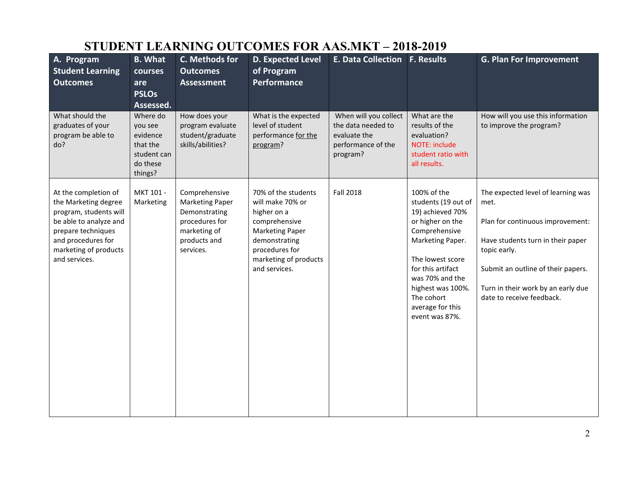# **STUDENT LEARNING OUTCOMES FOR AAS.MKT – 2018-2019**

| A. Program<br><b>Student Learning</b><br><b>Outcomes</b>                                                                                                                               | <b>B.</b> What<br>courses<br>are<br><b>PSLOs</b><br>Assessed.                     | C. Methods for<br><b>Outcomes</b><br><b>Assessment</b>                                                                  | <b>D. Expected Level</b><br>of Program<br><b>Performance</b>                                                                                                                   | <b>E. Data Collection F. Results</b>                                                          |                                                                                                                                                                                                                                                      | <b>G. Plan For Improvement</b>                                                                                                                                                                                                               |
|----------------------------------------------------------------------------------------------------------------------------------------------------------------------------------------|-----------------------------------------------------------------------------------|-------------------------------------------------------------------------------------------------------------------------|--------------------------------------------------------------------------------------------------------------------------------------------------------------------------------|-----------------------------------------------------------------------------------------------|------------------------------------------------------------------------------------------------------------------------------------------------------------------------------------------------------------------------------------------------------|----------------------------------------------------------------------------------------------------------------------------------------------------------------------------------------------------------------------------------------------|
| What should the<br>graduates of your<br>program be able to<br>do?                                                                                                                      | Where do<br>you see<br>evidence<br>that the<br>student can<br>do these<br>things? | How does your<br>program evaluate<br>student/graduate<br>skills/abilities?                                              | What is the expected<br>level of student<br>performance for the<br>program?                                                                                                    | When will you collect<br>the data needed to<br>evaluate the<br>performance of the<br>program? | What are the<br>results of the<br>evaluation?<br><b>NOTE: include</b><br>student ratio with<br>all results.                                                                                                                                          | How will you use this information<br>to improve the program?                                                                                                                                                                                 |
| At the completion of<br>the Marketing degree<br>program, students will<br>be able to analyze and<br>prepare techniques<br>and procedures for<br>marketing of products<br>and services. | MKT 101 -<br>Marketing                                                            | Comprehensive<br><b>Marketing Paper</b><br>Demonstrating<br>procedures for<br>marketing of<br>products and<br>services. | 70% of the students<br>will make 70% or<br>higher on a<br>comprehensive<br><b>Marketing Paper</b><br>demonstrating<br>procedures for<br>marketing of products<br>and services. | <b>Fall 2018</b>                                                                              | 100% of the<br>students (19 out of<br>19) achieved 70%<br>or higher on the<br>Comprehensive<br>Marketing Paper.<br>The lowest score<br>for this artifact<br>was 70% and the<br>highest was 100%.<br>The cohort<br>average for this<br>event was 87%. | The expected level of learning was<br>met.<br>Plan for continuous improvement:<br>Have students turn in their paper<br>topic early.<br>Submit an outline of their papers.<br>Turn in their work by an early due<br>date to receive feedback. |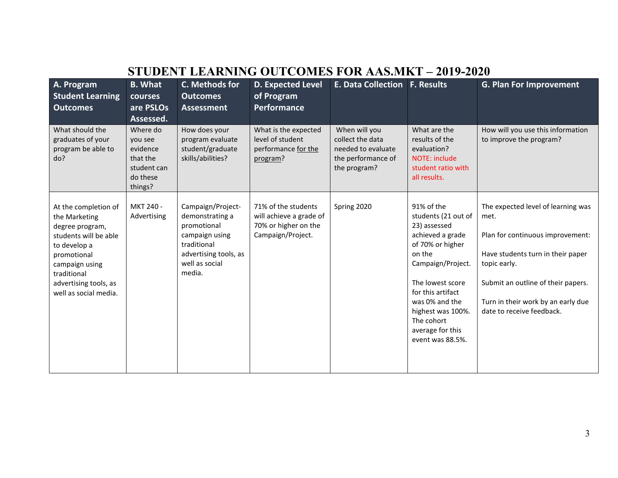| STUDENT LEARNING OUTCOMES FOR AAS.MKT – 2019-2020                                                                                                                                                   |                                                                                   |                                                                                                                                           |                                                                                             |                                                                                               |                                                                                                                                                                                                                                                                |                                                                                                                                                                                                                                              |  |  |
|-----------------------------------------------------------------------------------------------------------------------------------------------------------------------------------------------------|-----------------------------------------------------------------------------------|-------------------------------------------------------------------------------------------------------------------------------------------|---------------------------------------------------------------------------------------------|-----------------------------------------------------------------------------------------------|----------------------------------------------------------------------------------------------------------------------------------------------------------------------------------------------------------------------------------------------------------------|----------------------------------------------------------------------------------------------------------------------------------------------------------------------------------------------------------------------------------------------|--|--|
| A. Program<br><b>Student Learning</b><br><b>Outcomes</b>                                                                                                                                            | <b>B.</b> What<br><b>courses</b><br>are PSLOs<br>Assessed.                        | C. Methods for<br><b>Outcomes</b><br><b>Assessment</b>                                                                                    | <b>D. Expected Level</b><br>of Program<br>Performance                                       | E. Data Collection   F. Results                                                               |                                                                                                                                                                                                                                                                | <b>G. Plan For Improvement</b>                                                                                                                                                                                                               |  |  |
| What should the<br>graduates of your<br>program be able to<br>do?                                                                                                                                   | Where do<br>you see<br>evidence<br>that the<br>student can<br>do these<br>things? | How does your<br>program evaluate<br>student/graduate<br>skills/abilities?                                                                | What is the expected<br>level of student<br>performance for the<br>program?                 | When will you<br>collect the data<br>needed to evaluate<br>the performance of<br>the program? | What are the<br>results of the<br>evaluation?<br>NOTE: include<br>student ratio with<br>all results.                                                                                                                                                           | How will you use this information<br>to improve the program?                                                                                                                                                                                 |  |  |
| At the completion of<br>the Marketing<br>degree program,<br>students will be able<br>to develop a<br>promotional<br>campaign using<br>traditional<br>advertising tools, as<br>well as social media. | MKT 240 -<br>Advertising                                                          | Campaign/Project-<br>demonstrating a<br>promotional<br>campaign using<br>traditional<br>advertising tools, as<br>well as social<br>media. | 71% of the students<br>will achieve a grade of<br>70% or higher on the<br>Campaign/Project. | Spring 2020                                                                                   | 91% of the<br>students (21 out of<br>23) assessed<br>achieved a grade<br>of 70% or higher<br>on the<br>Campaign/Project.<br>The lowest score<br>for this artifact<br>was 0% and the<br>highest was 100%.<br>The cohort<br>average for this<br>event was 88.5%. | The expected level of learning was<br>met.<br>Plan for continuous improvement:<br>Have students turn in their paper<br>topic early.<br>Submit an outline of their papers.<br>Turn in their work by an early due<br>date to receive feedback. |  |  |

## **STUDENT LEARNING OUTCOMES FOR AAS.MKT – 2019-2020**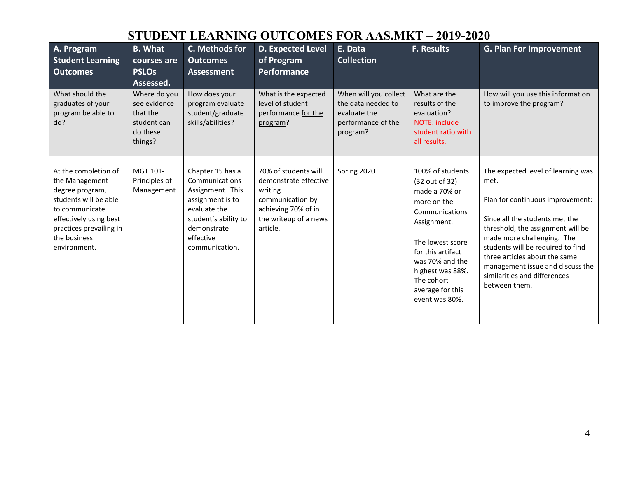### **STUDENT LEARNING OUTCOMES FOR AAS.MKT – 2019-2020**

| A. Program<br><b>Student Learning</b><br><b>Outcomes</b>                                                                                                                                  | <b>B.</b> What<br>courses are<br><b>PSLOs</b><br>Assessed.                     | C. Methods for<br><b>Outcomes</b><br><b>Assessment</b>                                                                                                           | <b>D. Expected Level</b><br>of Program<br>Performance                                                                                    | E. Data<br><b>Collection</b>                                                                  | <b>F. Results</b>                                                                                                                                                                                                                       | <b>G. Plan For Improvement</b>                                                                                                                                                                                                                                                                                                                 |
|-------------------------------------------------------------------------------------------------------------------------------------------------------------------------------------------|--------------------------------------------------------------------------------|------------------------------------------------------------------------------------------------------------------------------------------------------------------|------------------------------------------------------------------------------------------------------------------------------------------|-----------------------------------------------------------------------------------------------|-----------------------------------------------------------------------------------------------------------------------------------------------------------------------------------------------------------------------------------------|------------------------------------------------------------------------------------------------------------------------------------------------------------------------------------------------------------------------------------------------------------------------------------------------------------------------------------------------|
| What should the<br>graduates of your<br>program be able to<br>do?                                                                                                                         | Where do you<br>see evidence<br>that the<br>student can<br>do these<br>things? | How does your<br>program evaluate<br>student/graduate<br>skills/abilities?                                                                                       | What is the expected<br>level of student<br>performance for the<br>program?                                                              | When will you collect<br>the data needed to<br>evaluate the<br>performance of the<br>program? | What are the<br>results of the<br>evaluation?<br>NOTE: include<br>student ratio with<br>all results.                                                                                                                                    | How will you use this information<br>to improve the program?                                                                                                                                                                                                                                                                                   |
| At the completion of<br>the Management<br>degree program,<br>students will be able<br>to communicate<br>effectively using best<br>practices prevailing in<br>the business<br>environment. | MGT 101-<br>Principles of<br>Management                                        | Chapter 15 has a<br>Communications<br>Assignment. This<br>assignment is to<br>evaluate the<br>student's ability to<br>demonstrate<br>effective<br>communication. | 70% of students will<br>demonstrate effective<br>writing<br>communication by<br>achieving 70% of in<br>the writeup of a news<br>article. | Spring 2020                                                                                   | 100% of students<br>(32 out of 32)<br>made a 70% or<br>more on the<br>Communications<br>Assignment.<br>The lowest score<br>for this artifact<br>was 70% and the<br>highest was 88%.<br>The cohort<br>average for this<br>event was 80%. | The expected level of learning was<br>met.<br>Plan for continuous improvement:<br>Since all the students met the<br>threshold, the assignment will be<br>made more challenging. The<br>students will be required to find<br>three articles about the same<br>management issue and discuss the<br>similarities and differences<br>between them. |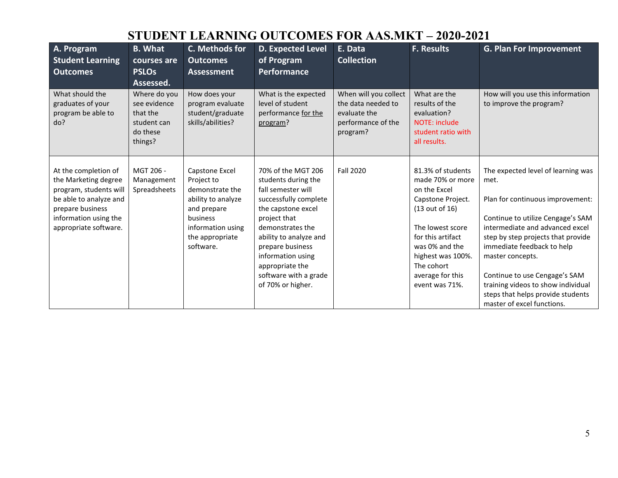### **STUDENT LEARNING OUTCOMES FOR AAS.MKT – 2020-2021**

| A. Program<br><b>Student Learning</b><br><b>Outcomes</b>                                                                                                               | <b>B.</b> What<br>courses are<br><b>PSLOs</b><br>Assessed.                     | <b>C. Methods for</b><br><b>Outcomes</b><br><b>Assessment</b>                                                                                         | <b>D. Expected Level</b><br>of Program<br><b>Performance</b>                                                                                                                                                                                                                           | E. Data<br><b>Collection</b>                                                                  | <b>F. Results</b>                                                                                                                                                                                                                | <b>G. Plan For Improvement</b>                                                                                                                                                                                                                                                                                                                                                           |
|------------------------------------------------------------------------------------------------------------------------------------------------------------------------|--------------------------------------------------------------------------------|-------------------------------------------------------------------------------------------------------------------------------------------------------|----------------------------------------------------------------------------------------------------------------------------------------------------------------------------------------------------------------------------------------------------------------------------------------|-----------------------------------------------------------------------------------------------|----------------------------------------------------------------------------------------------------------------------------------------------------------------------------------------------------------------------------------|------------------------------------------------------------------------------------------------------------------------------------------------------------------------------------------------------------------------------------------------------------------------------------------------------------------------------------------------------------------------------------------|
| What should the<br>graduates of your<br>program be able to<br>do?                                                                                                      | Where do you<br>see evidence<br>that the<br>student can<br>do these<br>things? | How does your<br>program evaluate<br>student/graduate<br>skills/abilities?                                                                            | What is the expected<br>level of student<br>performance for the<br>program?                                                                                                                                                                                                            | When will you collect<br>the data needed to<br>evaluate the<br>performance of the<br>program? | What are the<br>results of the<br>evaluation?<br><b>NOTE: include</b><br>student ratio with<br>all results.                                                                                                                      | How will you use this information<br>to improve the program?                                                                                                                                                                                                                                                                                                                             |
| At the completion of<br>the Marketing degree<br>program, students will<br>be able to analyze and<br>prepare business<br>information using the<br>appropriate software. | MGT 206 -<br>Management<br>Spreadsheets                                        | Capstone Excel<br>Project to<br>demonstrate the<br>ability to analyze<br>and prepare<br>business<br>information using<br>the appropriate<br>software. | 70% of the MGT 206<br>students during the<br>fall semester will<br>successfully complete<br>the capstone excel<br>project that<br>demonstrates the<br>ability to analyze and<br>prepare business<br>information using<br>appropriate the<br>software with a grade<br>of 70% or higher. | <b>Fall 2020</b>                                                                              | 81.3% of students<br>made 70% or more<br>on the Excel<br>Capstone Project.<br>(13 out of 16)<br>The lowest score<br>for this artifact<br>was 0% and the<br>highest was 100%.<br>The cohort<br>average for this<br>event was 71%. | The expected level of learning was<br>met.<br>Plan for continuous improvement:<br>Continue to utilize Cengage's SAM<br>intermediate and advanced excel<br>step by step projects that provide<br>immediate feedback to help<br>master concepts.<br>Continue to use Cengage's SAM<br>training videos to show individual<br>steps that helps provide students<br>master of excel functions. |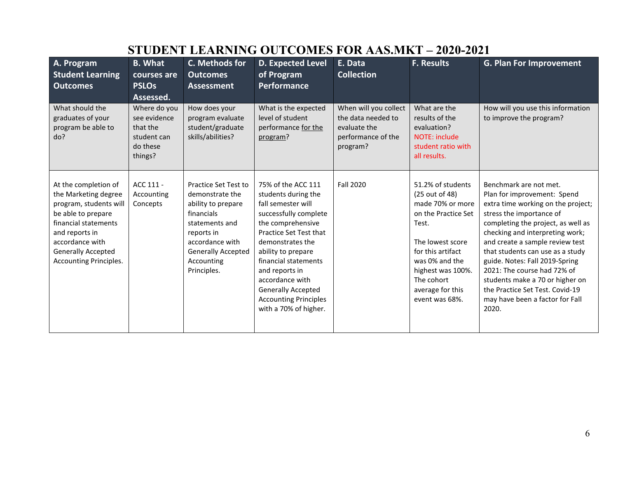| A. Program<br><b>Student Learning</b><br><b>Outcomes</b>                                                                                                                                                         | <b>B.</b> What<br>courses are<br><b>PSLOs</b><br>Assessed.                     | C. Methods for<br><b>Outcomes</b><br><b>Assessment</b>                                                                                                                                          | <b>D. Expected Level</b><br>of Program<br>Performance                                                                                                                                                                                                                                                                                | E. Data<br><b>Collection</b>                                                                  | <b>F. Results</b>                                                                                                                                                                                                           | <b>G. Plan For Improvement</b>                                                                                                                                                                                                                                                                                                                                                                                                                             |
|------------------------------------------------------------------------------------------------------------------------------------------------------------------------------------------------------------------|--------------------------------------------------------------------------------|-------------------------------------------------------------------------------------------------------------------------------------------------------------------------------------------------|--------------------------------------------------------------------------------------------------------------------------------------------------------------------------------------------------------------------------------------------------------------------------------------------------------------------------------------|-----------------------------------------------------------------------------------------------|-----------------------------------------------------------------------------------------------------------------------------------------------------------------------------------------------------------------------------|------------------------------------------------------------------------------------------------------------------------------------------------------------------------------------------------------------------------------------------------------------------------------------------------------------------------------------------------------------------------------------------------------------------------------------------------------------|
| What should the<br>graduates of your<br>program be able to<br>do?                                                                                                                                                | Where do you<br>see evidence<br>that the<br>student can<br>do these<br>things? | How does your<br>program evaluate<br>student/graduate<br>skills/abilities?                                                                                                                      | What is the expected<br>level of student<br>performance for the<br>program?                                                                                                                                                                                                                                                          | When will you collect<br>the data needed to<br>evaluate the<br>performance of the<br>program? | What are the<br>results of the<br>evaluation?<br><b>NOTE: include</b><br>student ratio with<br>all results.                                                                                                                 | How will you use this information<br>to improve the program?                                                                                                                                                                                                                                                                                                                                                                                               |
| At the completion of<br>the Marketing degree<br>program, students will<br>be able to prepare<br>financial statements<br>and reports in<br>accordance with<br><b>Generally Accepted</b><br>Accounting Principles. | ACC 111 -<br>Accounting<br>Concepts                                            | <b>Practice Set Test to</b><br>demonstrate the<br>ability to prepare<br>financials<br>statements and<br>reports in<br>accordance with<br><b>Generally Accepted</b><br>Accounting<br>Principles. | 75% of the ACC 111<br>students during the<br>fall semester will<br>successfully complete<br>the comprehensive<br>Practice Set Test that<br>demonstrates the<br>ability to prepare<br>financial statements<br>and reports in<br>accordance with<br><b>Generally Accepted</b><br><b>Accounting Principles</b><br>with a 70% of higher. | Fall 2020                                                                                     | 51.2% of students<br>(25 out of 48)<br>made 70% or more<br>on the Practice Set<br>Test.<br>The lowest score<br>for this artifact<br>was 0% and the<br>highest was 100%.<br>The cohort<br>average for this<br>event was 68%. | Benchmark are not met.<br>Plan for improvement: Spend<br>extra time working on the project;<br>stress the importance of<br>completing the project, as well as<br>checking and interpreting work;<br>and create a sample review test<br>that students can use as a study<br>guide. Notes: Fall 2019-Spring<br>2021: The course had 72% of<br>students make a 70 or higher on<br>the Practice Set Test. Covid-19<br>may have been a factor for Fall<br>2020. |

# **STUDENT LEARNING OUTCOMES FOR AAS.MKT – 2020-2021**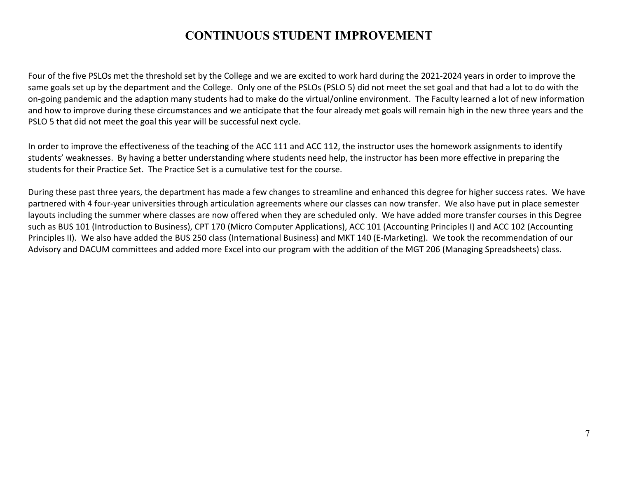#### **CONTINUOUS STUDENT IMPROVEMENT**

Four of the five PSLOs met the threshold set by the College and we are excited to work hard during the 2021-2024 years in order to improve the same goals set up by the department and the College. Only one of the PSLOs (PSLO 5) did not meet the set goal and that had a lot to do with the on-going pandemic and the adaption many students had to make do the virtual/online environment. The Faculty learned a lot of new information and how to improve during these circumstances and we anticipate that the four already met goals will remain high in the new three years and the PSLO 5 that did not meet the goal this year will be successful next cycle.

In order to improve the effectiveness of the teaching of the ACC 111 and ACC 112, the instructor uses the homework assignments to identify students' weaknesses. By having a better understanding where students need help, the instructor has been more effective in preparing the students for their Practice Set. The Practice Set is a cumulative test for the course.

During these past three years, the department has made a few changes to streamline and enhanced this degree for higher success rates. We have partnered with 4 four-year universities through articulation agreements where our classes can now transfer. We also have put in place semester layouts including the summer where classes are now offered when they are scheduled only. We have added more transfer courses in this Degree such as BUS 101 (Introduction to Business), CPT 170 (Micro Computer Applications), ACC 101 (Accounting Principles I) and ACC 102 (Accounting Principles II). We also have added the BUS 250 class (International Business) and MKT 140 (E-Marketing). We took the recommendation of our Advisory and DACUM committees and added more Excel into our program with the addition of the MGT 206 (Managing Spreadsheets) class.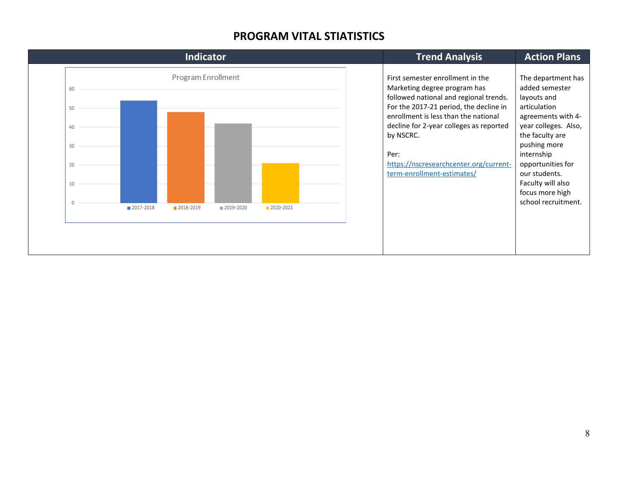#### **PROGRAM VITAL STIATISTICS**

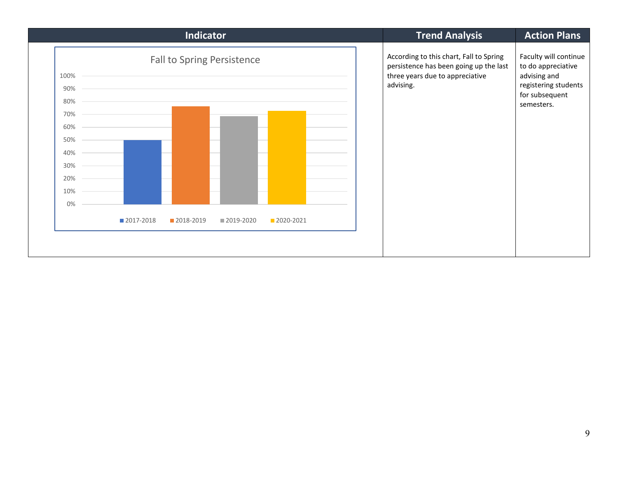| Indicator                                                                                         |             |           |           |           |  |  | <b>Trend Analysis</b>                                                                                                             | <b>Action Plans</b>                                                                                                 |
|---------------------------------------------------------------------------------------------------|-------------|-----------|-----------|-----------|--|--|-----------------------------------------------------------------------------------------------------------------------------------|---------------------------------------------------------------------------------------------------------------------|
| <b>Fall to Spring Persistence</b><br>100%<br>90%<br>80%<br>70%<br>60%<br>50%<br>40%<br>30%<br>20% |             |           |           |           |  |  | According to this chart, Fall to Spring<br>persistence has been going up the last<br>three years due to appreciative<br>advising. | Faculty will continue<br>to do appreciative<br>advising and<br>registering students<br>for subsequent<br>semesters. |
| 10%<br>0%                                                                                         |             |           |           |           |  |  |                                                                                                                                   |                                                                                                                     |
|                                                                                                   | ■ 2017-2018 | 2018-2019 | 2019-2020 | 2020-2021 |  |  |                                                                                                                                   |                                                                                                                     |
|                                                                                                   |             |           |           |           |  |  |                                                                                                                                   |                                                                                                                     |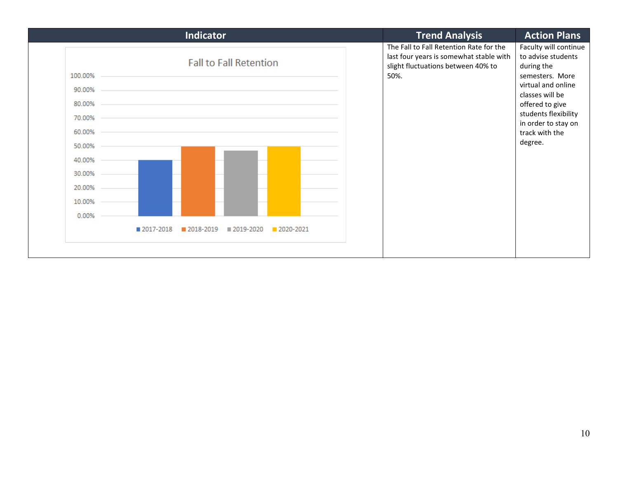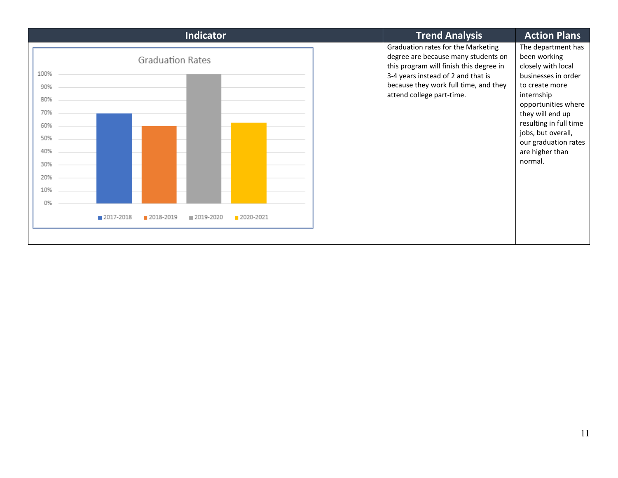